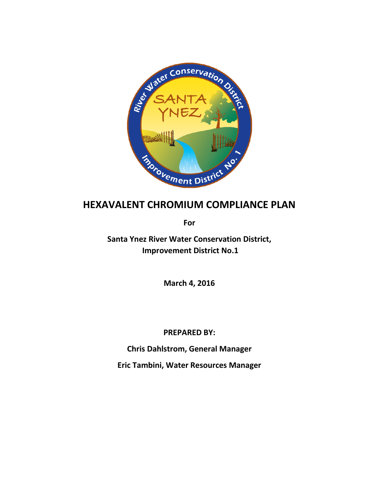

# **HEXAVALENT CHROMIUM COMPLIANCE PLAN**

**For**

**Santa Ynez River Water Conservation District, Improvement District No.1**

**March 4, 2016**

# **PREPARED BY:**

**Chris Dahlstrom, General Manager**

**Eric Tambini, Water Resources Manager**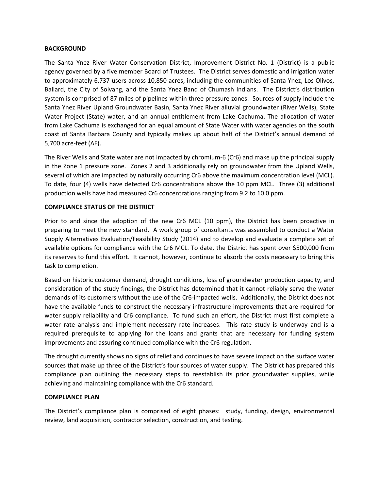#### **BACKGROUND**

The Santa Ynez River Water Conservation District, Improvement District No. 1 (District) is a public agency governed by a five member Board of Trustees. The District serves domestic and irrigation water to approximately 6,737 users across 10,850 acres, including the communities of Santa Ynez, Los Olivos, Ballard, the City of Solvang, and the Santa Ynez Band of Chumash Indians. The District's distribution system is comprised of 87 miles of pipelines within three pressure zones. Sources of supply include the Santa Ynez River Upland Groundwater Basin, Santa Ynez River alluvial groundwater (River Wells), State Water Project (State) water, and an annual entitlement from Lake Cachuma. The allocation of water from Lake Cachuma is exchanged for an equal amount of State Water with water agencies on the south coast of Santa Barbara County and typically makes up about half of the District's annual demand of 5,700 acre-feet (AF).

The River Wells and State water are not impacted by chromium-6 (Cr6) and make up the principal supply in the Zone 1 pressure zone. Zones 2 and 3 additionally rely on groundwater from the Upland Wells, several of which are impacted by naturally occurring Cr6 above the maximum concentration level (MCL). To date, four (4) wells have detected Cr6 concentrations above the 10 ppm MCL. Three (3) additional production wells have had measured Cr6 concentrations ranging from 9.2 to 10.0 ppm.

#### **COMPLIANCE STATUS OF THE DISTRICT**

Prior to and since the adoption of the new Cr6 MCL (10 ppm), the District has been proactive in preparing to meet the new standard. A work group of consultants was assembled to conduct a Water Supply Alternatives Evaluation/Feasibility Study (2014) and to develop and evaluate a complete set of available options for compliance with the Cr6 MCL. To date, the District has spent over \$500,000 from its reserves to fund this effort. It cannot, however, continue to absorb the costs necessary to bring this task to completion.

Based on historic customer demand, drought conditions, loss of groundwater production capacity, and consideration of the study findings, the District has determined that it cannot reliably serve the water demands of its customers without the use of the Cr6-impacted wells. Additionally, the District does not have the available funds to construct the necessary infrastructure improvements that are required for water supply reliability and Cr6 compliance. To fund such an effort, the District must first complete a water rate analysis and implement necessary rate increases. This rate study is underway and is a required prerequisite to applying for the loans and grants that are necessary for funding system improvements and assuring continued compliance with the Cr6 regulation.

The drought currently shows no signs of relief and continues to have severe impact on the surface water sources that make up three of the District's four sources of water supply. The District has prepared this compliance plan outlining the necessary steps to reestablish its prior groundwater supplies, while achieving and maintaining compliance with the Cr6 standard.

#### **COMPLIANCE PLAN**

The District's compliance plan is comprised of eight phases: study, funding, design, environmental review, land acquisition, contractor selection, construction, and testing.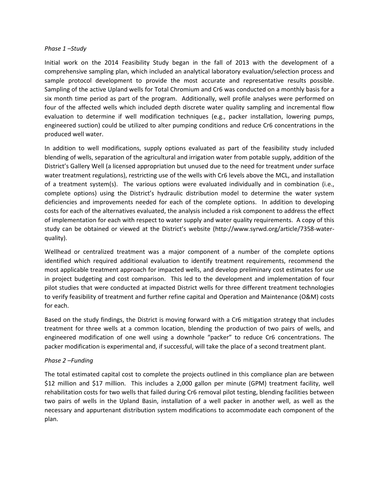#### *Phase 1 –Study*

Initial work on the 2014 Feasibility Study began in the fall of 2013 with the development of a comprehensive sampling plan, which included an analytical laboratory evaluation/selection process and sample protocol development to provide the most accurate and representative results possible. Sampling of the active Upland wells for Total Chromium and Cr6 was conducted on a monthly basis for a six month time period as part of the program. Additionally, well profile analyses were performed on four of the affected wells which included depth discrete water quality sampling and incremental flow evaluation to determine if well modification techniques (e.g., packer installation, lowering pumps, engineered suction) could be utilized to alter pumping conditions and reduce Cr6 concentrations in the produced well water.

In addition to well modifications, supply options evaluated as part of the feasibility study included blending of wells, separation of the agricultural and irrigation water from potable supply, addition of the District's Gallery Well (a licensed appropriation but unused due to the need for treatment under surface water treatment regulations), restricting use of the wells with Cr6 levels above the MCL, and installation of a treatment system(s). The various options were evaluated individually and in combination (i.e., complete options) using the District's hydraulic distribution model to determine the water system deficiencies and improvements needed for each of the complete options. In addition to developing costs for each of the alternatives evaluated, the analysis included a risk component to address the effect of implementation for each with respect to water supply and water quality requirements. A copy of this study can be obtained or viewed at the District's website (http://www.syrwd.org/article/7358-waterquality).

Wellhead or centralized treatment was a major component of a number of the complete options identified which required additional evaluation to identify treatment requirements, recommend the most applicable treatment approach for impacted wells, and develop preliminary cost estimates for use in project budgeting and cost comparison. This led to the development and implementation of four pilot studies that were conducted at impacted District wells for three different treatment technologies to verify feasibility of treatment and further refine capital and Operation and Maintenance (O&M) costs for each.

Based on the study findings, the District is moving forward with a Cr6 mitigation strategy that includes treatment for three wells at a common location, blending the production of two pairs of wells, and engineered modification of one well using a downhole "packer" to reduce Cr6 concentrations. The packer modification is experimental and, if successful, will take the place of a second treatment plant.

#### *Phase 2 –Funding*

The total estimated capital cost to complete the projects outlined in this compliance plan are between \$12 million and \$17 million. This includes a 2,000 gallon per minute (GPM) treatment facility, well rehabilitation costs for two wells that failed during Cr6 removal pilot testing, blending facilities between two pairs of wells in the Upland Basin, installation of a well packer in another well, as well as the necessary and appurtenant distribution system modifications to accommodate each component of the plan.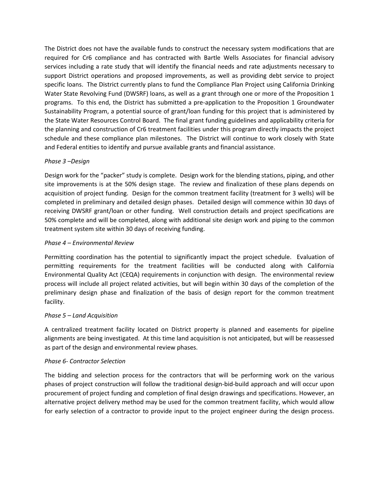The District does not have the available funds to construct the necessary system modifications that are required for Cr6 compliance and has contracted with Bartle Wells Associates for financial advisory services including a rate study that will identify the financial needs and rate adjustments necessary to support District operations and proposed improvements, as well as providing debt service to project specific loans. The District currently plans to fund the Compliance Plan Project using California Drinking Water State Revolving Fund (DWSRF) loans, as well as a grant through one or more of the Proposition 1 programs. To this end, the District has submitted a pre-application to the Proposition 1 Groundwater Sustainability Program, a potential source of grant/loan funding for this project that is administered by the State Water Resources Control Board. The final grant funding guidelines and applicability criteria for the planning and construction of Cr6 treatment facilities under this program directly impacts the project schedule and these compliance plan milestones. The District will continue to work closely with State and Federal entities to identify and pursue available grants and financial assistance.

# *Phase 3 –Design*

Design work for the "packer" study is complete. Design work for the blending stations, piping, and other site improvements is at the 50% design stage. The review and finalization of these plans depends on acquisition of project funding. Design for the common treatment facility (treatment for 3 wells) will be completed in preliminary and detailed design phases. Detailed design will commence within 30 days of receiving DWSRF grant/loan or other funding. Well construction details and project specifications are 50% complete and will be completed, along with additional site design work and piping to the common treatment system site within 30 days of receiving funding.

# *Phase 4 – Environmental Review*

Permitting coordination has the potential to significantly impact the project schedule. Evaluation of permitting requirements for the treatment facilities will be conducted along with California Environmental Quality Act (CEQA) requirements in conjunction with design. The environmental review process will include all project related activities, but will begin within 30 days of the completion of the preliminary design phase and finalization of the basis of design report for the common treatment facility.

#### *Phase 5 – Land Acquisition*

A centralized treatment facility located on District property is planned and easements for pipeline alignments are being investigated. At this time land acquisition is not anticipated, but will be reassessed as part of the design and environmental review phases.

#### *Phase 6- Contractor Selection*

The bidding and selection process for the contractors that will be performing work on the various phases of project construction will follow the traditional design-bid-build approach and will occur upon procurement of project funding and completion of final design drawings and specifications. However, an alternative project delivery method may be used for the common treatment facility, which would allow for early selection of a contractor to provide input to the project engineer during the design process.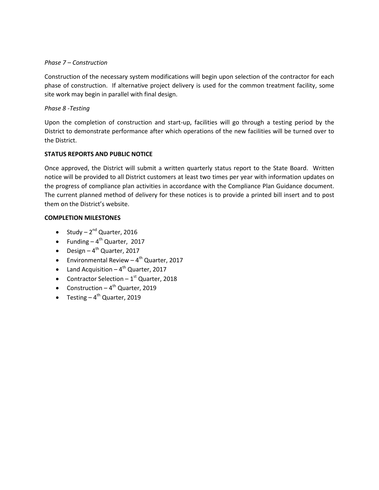# *Phase 7 – Construction*

Construction of the necessary system modifications will begin upon selection of the contractor for each phase of construction. If alternative project delivery is used for the common treatment facility, some site work may begin in parallel with final design.

# *Phase 8 -Testing*

Upon the completion of construction and start-up, facilities will go through a testing period by the District to demonstrate performance after which operations of the new facilities will be turned over to the District.

# **STATUS REPORTS AND PUBLIC NOTICE**

Once approved, the District will submit a written quarterly status report to the State Board. Written notice will be provided to all District customers at least two times per year with information updates on the progress of compliance plan activities in accordance with the Compliance Plan Guidance document. The current planned method of delivery for these notices is to provide a printed bill insert and to post them on the District's website.

# **COMPLETION MILESTONES**

- Study  $2^{nd}$  Quarter, 2016
- Funding  $-4$ <sup>th</sup> Quarter, 2017
- Design  $4^{th}$  Quarter, 2017
- **•** Environmental Review  $-4$ <sup>th</sup> Quarter, 2017
- Land Acquisition  $4^{th}$  Quarter, 2017
- Contractor Selection  $1<sup>st</sup>$  Quarter, 2018
- Construction  $4^{th}$  Quarter, 2019
- Testing  $-4^{\text{th}}$  Quarter, 2019